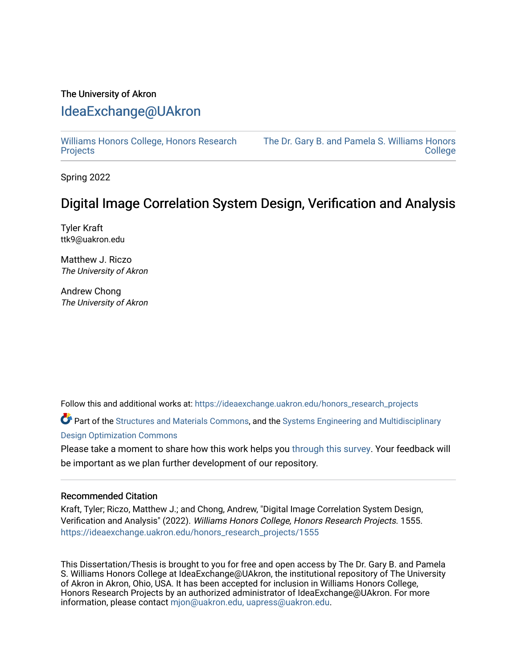## The University of Akron [IdeaExchange@UAkron](https://ideaexchange.uakron.edu/)

[Williams Honors College, Honors Research](https://ideaexchange.uakron.edu/honors_research_projects)  **[Projects](https://ideaexchange.uakron.edu/honors_research_projects)** 

[The Dr. Gary B. and Pamela S. Williams Honors](https://ideaexchange.uakron.edu/honorscollege_ideas)  **College** 

Spring 2022

# Digital Image Correlation System Design, Verification and Analysis

Tyler Kraft ttk9@uakron.edu

Matthew J. Riczo The University of Akron

Andrew Chong The University of Akron

Follow this and additional works at: [https://ideaexchange.uakron.edu/honors\\_research\\_projects](https://ideaexchange.uakron.edu/honors_research_projects?utm_source=ideaexchange.uakron.edu%2Fhonors_research_projects%2F1555&utm_medium=PDF&utm_campaign=PDFCoverPages) 

Part of the [Structures and Materials Commons,](http://network.bepress.com/hgg/discipline/224?utm_source=ideaexchange.uakron.edu%2Fhonors_research_projects%2F1555&utm_medium=PDF&utm_campaign=PDFCoverPages) and the [Systems Engineering and Multidisciplinary](http://network.bepress.com/hgg/discipline/221?utm_source=ideaexchange.uakron.edu%2Fhonors_research_projects%2F1555&utm_medium=PDF&utm_campaign=PDFCoverPages) [Design Optimization Commons](http://network.bepress.com/hgg/discipline/221?utm_source=ideaexchange.uakron.edu%2Fhonors_research_projects%2F1555&utm_medium=PDF&utm_campaign=PDFCoverPages)

Please take a moment to share how this work helps you [through this survey](http://survey.az1.qualtrics.com/SE/?SID=SV_eEVH54oiCbOw05f&URL=https://ideaexchange.uakron.edu/honors_research_projects/1555). Your feedback will be important as we plan further development of our repository.

### Recommended Citation

Kraft, Tyler; Riczo, Matthew J.; and Chong, Andrew, "Digital Image Correlation System Design, Verification and Analysis" (2022). Williams Honors College, Honors Research Projects. 1555. [https://ideaexchange.uakron.edu/honors\\_research\\_projects/1555](https://ideaexchange.uakron.edu/honors_research_projects/1555?utm_source=ideaexchange.uakron.edu%2Fhonors_research_projects%2F1555&utm_medium=PDF&utm_campaign=PDFCoverPages) 

This Dissertation/Thesis is brought to you for free and open access by The Dr. Gary B. and Pamela S. Williams Honors College at IdeaExchange@UAkron, the institutional repository of The University of Akron in Akron, Ohio, USA. It has been accepted for inclusion in Williams Honors College, Honors Research Projects by an authorized administrator of IdeaExchange@UAkron. For more information, please contact [mjon@uakron.edu, uapress@uakron.edu.](mailto:mjon@uakron.edu,%20uapress@uakron.edu)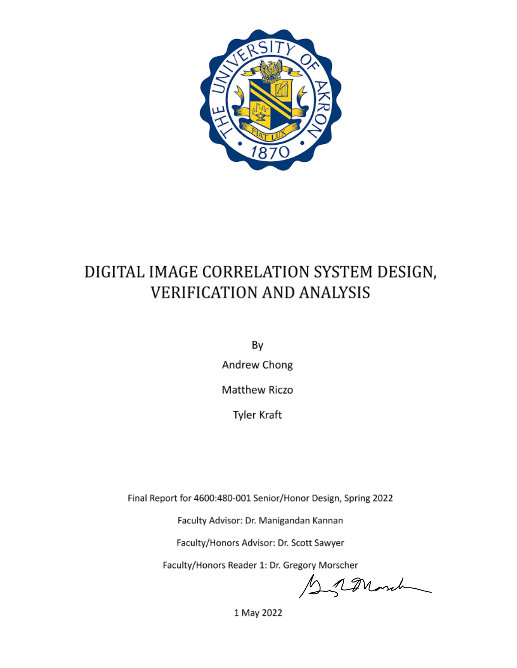

# DIGITAL IMAGE CORRELATION SYSTEM DESIGN, **VERIFICATION AND ANALYSIS**

By

Andrew Chong

Matthew Riczo

**Tyler Kraft** 

Final Report for 4600:480-001 Senior/Honor Design, Spring 2022

Faculty Advisor: Dr. Manigandan Kannan

Faculty/Honors Advisor: Dr. Scott Sawyer

Faculty/Honors Reader 1: Dr. Gregory Morscher

Syramond

1 May 2022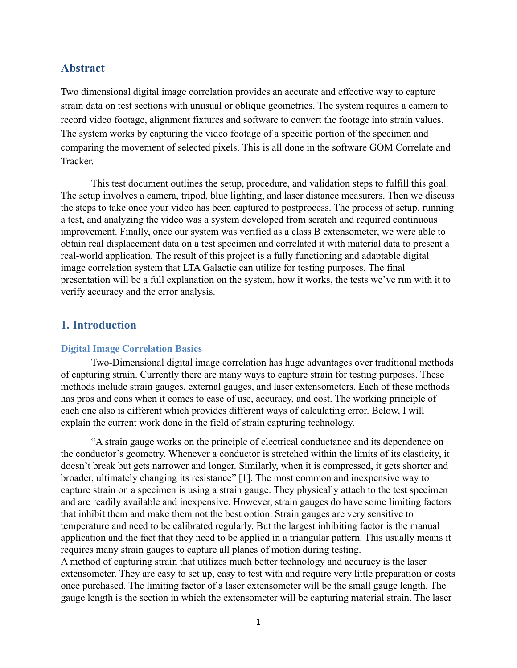## **Abstract**

Two dimensional digital image correlation provides an accurate and effective way to capture strain data on test sections with unusual or oblique geometries. The system requires a camera to record video footage, alignment fixtures and software to convert the footage into strain values. The system works by capturing the video footage of a specific portion of the specimen and comparing the movement of selected pixels. This is all done in the software GOM Correlate and **Tracker** 

This test document outlines the setup, procedure, and validation steps to fulfill this goal. The setup involves a camera, tripod, blue lighting, and laser distance measurers. Then we discuss the steps to take once your video has been captured to postprocess. The process of setup, running a test, and analyzing the video was a system developed from scratch and required continuous improvement. Finally, once our system was verified as a class B extensometer, we were able to obtain real displacement data on a test specimen and correlated it with material data to present a real-world application. The result of this project is a fully functioning and adaptable digital image correlation system that LTA Galactic can utilize for testing purposes. The final presentation will be a full explanation on the system, how it works, the tests we've run with it to verify accuracy and the error analysis.

## **1. Introduction**

#### **Digital Image Correlation Basics**

Two-Dimensional digital image correlation has huge advantages over traditional methods of capturing strain. Currently there are many ways to capture strain for testing purposes. These methods include strain gauges, external gauges, and laser extensometers. Each of these methods has pros and cons when it comes to ease of use, accuracy, and cost. The working principle of each one also is different which provides different ways of calculating error. Below, I will explain the current work done in the field of strain capturing technology.

"A strain gauge works on the principle of electrical conductance and its dependence on the conductor's geometry. Whenever a conductor is stretched within the limits of its elasticity, it doesn't break but gets narrower and longer. Similarly, when it is compressed, it gets shorter and broader, ultimately changing its resistance" [1]. The most common and inexpensive way to capture strain on a specimen is using a strain gauge. They physically attach to the test specimen and are readily available and inexpensive. However, strain gauges do have some limiting factors that inhibit them and make them not the best option. Strain gauges are very sensitive to temperature and need to be calibrated regularly. But the largest inhibiting factor is the manual application and the fact that they need to be applied in a triangular pattern. This usually means it requires many strain gauges to capture all planes of motion during testing. A method of capturing strain that utilizes much better technology and accuracy is the laser extensometer. They are easy to set up, easy to test with and require very little preparation or costs

once purchased. The limiting factor of a laser extensometer will be the small gauge length. The gauge length is the section in which the extensometer will be capturing material strain. The laser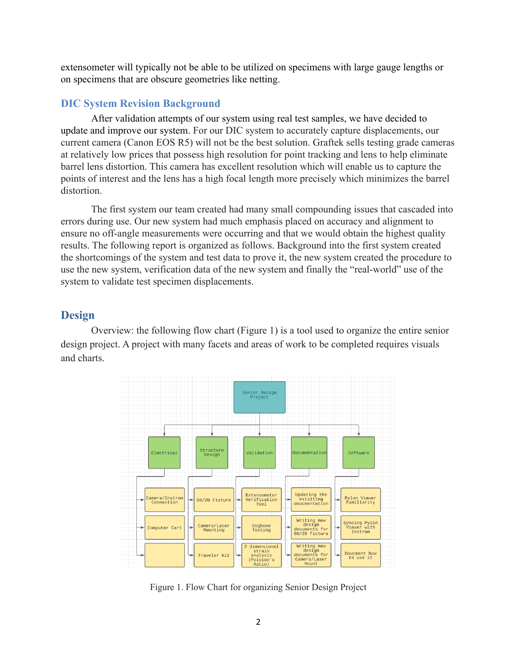extensometer will typically not be able to be utilized on specimens with large gauge lengths or on specimens that are obscure geometries like netting.

## **DIC System Revision Background**

After validation attempts of our system using real test samples, we have decided to update and improve our system. For our DIC system to accurately capture displacements, our current camera (Canon EOS R5) will not be the best solution. Graftek sells testing grade cameras at relatively low prices that possess high resolution for point tracking and lens to help eliminate barrel lens distortion. This camera has excellent resolution which will enable us to capture the points of interest and the lens has a high focal length more precisely which minimizes the barrel distortion.

The first system our team created had many small compounding issues that cascaded into errors during use. Our new system had much emphasis placed on accuracy and alignment to ensure no off-angle measurements were occurring and that we would obtain the highest quality results. The following report is organized as follows. Background into the first system created the shortcomings of the system and test data to prove it, the new system created the procedure to use the new system, verification data of the new system and finally the "real-world" use of the system to validate test specimen displacements.

## **Design**

Overview: the following flow chart (Figure 1) is a tool used to organize the entire senior design project. A project with many facets and areas of work to be completed requires visuals and charts.



Figure 1. Flow Chart for organizing Senior Design Project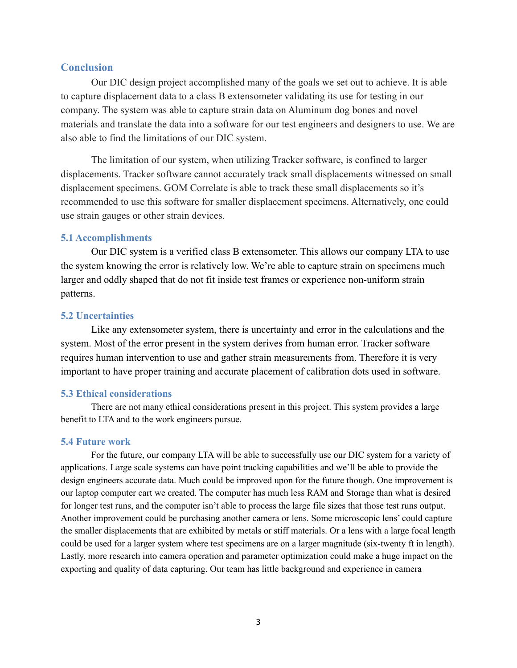## **Conclusion**

Our DIC design project accomplished many of the goals we set out to achieve. It is able to capture displacement data to a class B extensometer validating its use for testing in our company. The system was able to capture strain data on Aluminum dog bones and novel materials and translate the data into a software for our test engineers and designers to use. We are also able to find the limitations of our DIC system.

The limitation of our system, when utilizing Tracker software, is confined to larger displacements. Tracker software cannot accurately track small displacements witnessed on small displacement specimens. GOM Correlate is able to track these small displacements so it's recommended to use this software for smaller displacement specimens. Alternatively, one could use strain gauges or other strain devices.

### **5.1 Accomplishments**

Our DIC system is a verified class B extensometer. This allows our company LTA to use the system knowing the error is relatively low. We're able to capture strain on specimens much larger and oddly shaped that do not fit inside test frames or experience non-uniform strain patterns.

## **5.2 Uncertainties**

Like any extensometer system, there is uncertainty and error in the calculations and the system. Most of the error present in the system derives from human error. Tracker software requires human intervention to use and gather strain measurements from. Therefore it is very important to have proper training and accurate placement of calibration dots used in software.

#### **5.3 Ethical considerations**

There are not many ethical considerations present in this project. This system provides a large benefit to LTA and to the work engineers pursue.

#### **5.4 Future work**

For the future, our company LTA will be able to successfully use our DIC system for a variety of applications. Large scale systems can have point tracking capabilities and we'll be able to provide the design engineers accurate data. Much could be improved upon for the future though. One improvement is our laptop computer cart we created. The computer has much less RAM and Storage than what is desired for longer test runs, and the computer isn't able to process the large file sizes that those test runs output. Another improvement could be purchasing another camera or lens. Some microscopic lens' could capture the smaller displacements that are exhibited by metals or stiff materials. Or a lens with a large focal length could be used for a larger system where test specimens are on a larger magnitude (six-twenty ft in length). Lastly, more research into camera operation and parameter optimization could make a huge impact on the exporting and quality of data capturing. Our team has little background and experience in camera